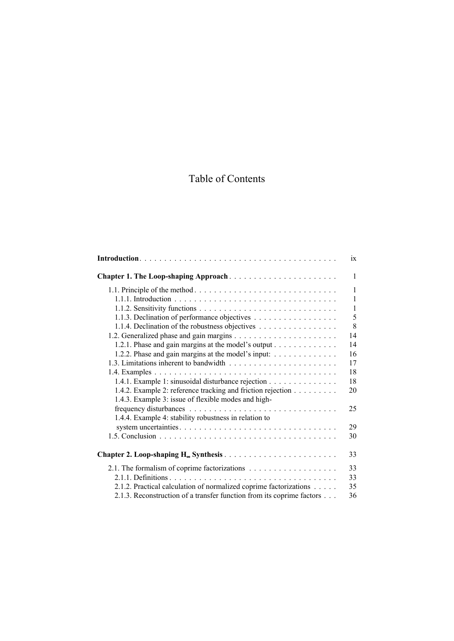## Table of Contents

|                                                                               | 1X           |
|-------------------------------------------------------------------------------|--------------|
| Chapter 1. The Loop-shaping Approach                                          | $\mathbf{1}$ |
|                                                                               | $\mathbf{1}$ |
|                                                                               | $\mathbf{1}$ |
|                                                                               | $\mathbf{1}$ |
| 1.1.3. Declination of performance objectives                                  | 5            |
| 1.1.4. Declination of the robustness objectives                               | 8            |
|                                                                               | 14           |
| 1.2.1. Phase and gain margins at the model's output                           | 14           |
| 1.2.2. Phase and gain margins at the model's input: $\dots \dots \dots \dots$ | 16           |
|                                                                               | 17           |
|                                                                               | 18           |
| 1.4.1. Example 1: sinusoidal disturbance rejection                            | 18           |
| 1.4.2. Example 2: reference tracking and friction rejection                   | 20           |
| 1.4.3. Example 3: issue of flexible modes and high-                           |              |
|                                                                               | 25           |
| 1.4.4. Example 4: stability robustness in relation to                         |              |
|                                                                               | 29           |
|                                                                               | 30           |
|                                                                               |              |
|                                                                               | 33           |
|                                                                               | 33           |
|                                                                               | 33           |
| 2.1.2. Practical calculation of normalized coprime factorizations             | 35           |
| 2.1.3. Reconstruction of a transfer function from its coprime factors         | 36           |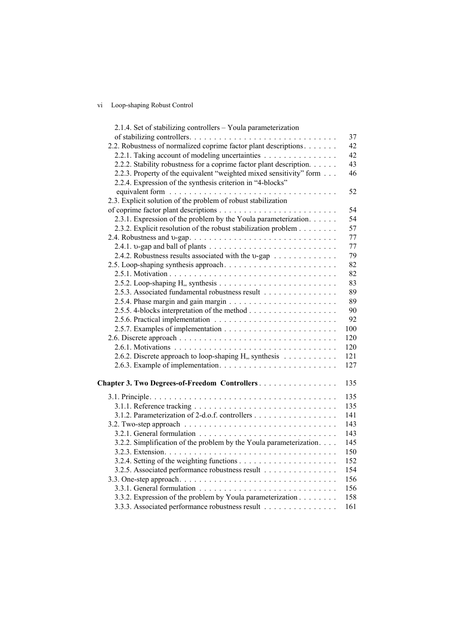## vi Loop-shaping Robust Control

| 2.1.4. Set of stabilizing controllers - Youla parameterization      |     |
|---------------------------------------------------------------------|-----|
|                                                                     | 37  |
| 2.2. Robustness of normalized coprime factor plant descriptions     | 42  |
| 2.2.1. Taking account of modeling uncertainties                     | 42  |
| 2.2.2. Stability robustness for a coprime factor plant description. | 43  |
| 2.2.3. Property of the equivalent "weighted mixed sensitivity" form | 46  |
| 2.2.4. Expression of the synthesis criterion in "4-blocks"          |     |
|                                                                     | 52  |
| 2.3. Explicit solution of the problem of robust stabilization       |     |
|                                                                     | 54  |
| 2.3.1. Expression of the problem by the Youla parameterization.     | 54  |
| 2.3.2. Explicit resolution of the robust stabilization problem      | 57  |
|                                                                     | 77  |
|                                                                     | 77  |
|                                                                     |     |
| 2.4.2. Robustness results associated with the v-gap                 | 79  |
|                                                                     | 82  |
|                                                                     | 82  |
|                                                                     | 83  |
| 2.5.3. Associated fundamental robustness result                     | 89  |
|                                                                     | 89  |
|                                                                     | 90  |
|                                                                     | 92  |
|                                                                     | 100 |
|                                                                     | 120 |
|                                                                     | 120 |
| 2.6.2. Discrete approach to loop-shaping $H_{\infty}$ synthesis     | 121 |
|                                                                     | 127 |
|                                                                     |     |
| Chapter 3. Two Degrees-of-Freedom Controllers                       | 135 |
|                                                                     | 135 |
|                                                                     | 135 |
| 3.1.2. Parameterization of 2-d.o.f. controllers                     | 141 |
|                                                                     | 143 |
|                                                                     | 143 |
| 3.2.2. Simplification of the problem by the Youla parameterization. | 145 |
|                                                                     | 150 |
|                                                                     | 152 |
|                                                                     | 154 |
| 3.2.5. Associated performance robustness result                     |     |
|                                                                     | 156 |
|                                                                     | 156 |
| 3.3.2. Expression of the problem by Youla parameterization          | 158 |
| 3.3.3. Associated performance robustness result                     | 161 |